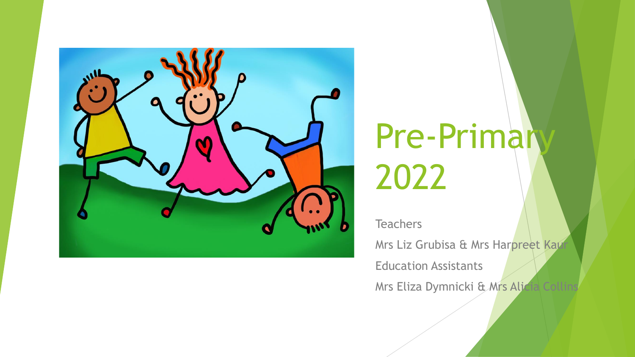

# Pre-Primary 2022

**Teachers** 

Mrs Liz Grubisa & Mrs Harpreet Kaur Education Assistants

Mrs Eliza Dymnicki & Mrs Alicia Collins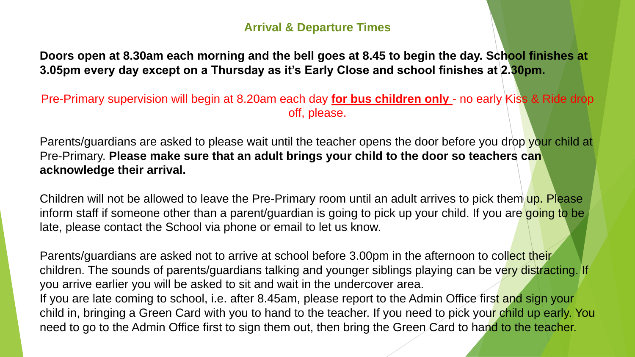#### **Arrival & Departure Times**

**Doors open at 8.30am each morning and the bell goes at 8.45 to begin the day. School finishes at 3.05pm every day except on a Thursday as it's Early Close and school finishes at 2.30pm.** 

Pre-Primary supervision will begin at 8.20am each day **for bus children only** - no early Kiss & Ride drop off, please.

Parents/guardians are asked to please wait until the teacher opens the door before you drop your child at Pre-Primary. **Please make sure that an adult brings your child to the door so teachers can acknowledge their arrival.** 

Children will not be allowed to leave the Pre-Primary room until an adult arrives to pick them up. Please inform staff if someone other than a parent/guardian is going to pick up your child. If you are going to be late, please contact the School via phone or email to let us know.

Parents/guardians are asked not to arrive at school before 3.00pm in the afternoon to collect their children. The sounds of parents/guardians talking and younger siblings playing can be very distracting. If you arrive earlier you will be asked to sit and wait in the undercover area. If you are late coming to school, i.e. after 8.45am, please report to the Admin Office first and sign your child in, bringing a Green Card with you to hand to the teacher. If you need to pick your child up early. You need to go to the Admin Office first to sign them out, then bring the Green Card to hand to the teacher.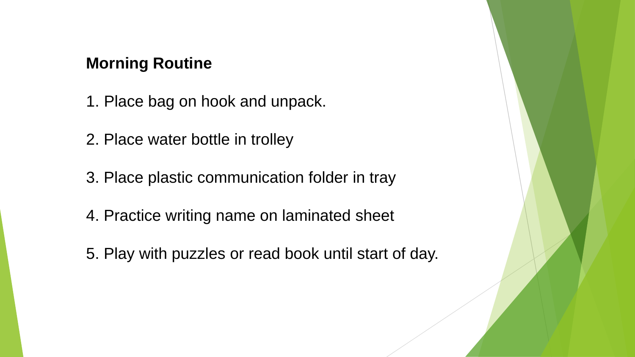## **Morning Routine**

- 1. Place bag on hook and unpack.
- 2. Place water bottle in trolley
- 3. Place plastic communication folder in tray
- 4. Practice writing name on laminated sheet
- 5. Play with puzzles or read book until start of day.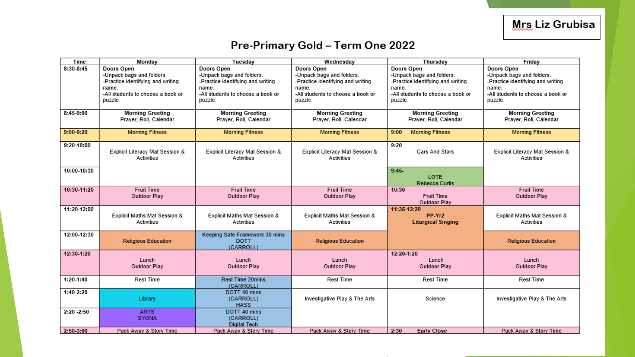### Pre-Primary Gold - Term One 2022

| Time          | Monday                                                                                                                                | Tuesday                                                                                                                               | Wednesday                                                                                                                             | Thursday                                                                                                                              | Friday                                                                                                                                |
|---------------|---------------------------------------------------------------------------------------------------------------------------------------|---------------------------------------------------------------------------------------------------------------------------------------|---------------------------------------------------------------------------------------------------------------------------------------|---------------------------------------------------------------------------------------------------------------------------------------|---------------------------------------------------------------------------------------------------------------------------------------|
| 8:30-8:45     | Doors Open<br>-Unpack bags and folders.<br>-Practice identifying and writing<br>name.<br>-All students to choose a book or<br>puzzle. | Doors Open<br>-Unpack bags and folders.<br>-Practice identifying and writing<br>name.<br>-All students to choose a book or<br>puzzle. | Doors Open<br>-Unpack bags and folders.<br>-Practice identifying and writing<br>name.<br>-All students to choose a book or<br>puzzle. | Doors Open<br>-Unpack bags and folders.<br>-Practice identifying and writing<br>name.<br>-All students to choose a book or<br>puzzle. | Doors Open<br>-Unpack bags and folders.<br>-Practice identifying and writing<br>name.<br>-All students to choose a book or<br>puzzle. |
| 8:45-9:00     | <b>Morning Greeting</b><br>Prayer, Roll, Calendar                                                                                     | <b>Morning Greeting</b><br>Prayer, Roll, Calendar                                                                                     | <b>Morning Greeting</b><br>Prayer, Roll, Calendar                                                                                     | <b>Morning Greeting</b><br>Prayer, Roll, Calendar                                                                                     | <b>Morning Greeting</b><br>Prayer, Roll, Calendar                                                                                     |
| $9:00-9:20$   | <b>Morning Fitness</b>                                                                                                                | <b>Morning Fitness</b>                                                                                                                | <b>Morning Fitness</b>                                                                                                                | <b>Morning Fitness</b><br>9:00                                                                                                        | <b>Morning Fitness</b>                                                                                                                |
| 9:20-10:00    | Explicit Literacy Mat Session &<br>Activities                                                                                         | Explicit Literacy Mat Session &<br>Activities                                                                                         | Explicit Literacy Mat Session &<br>Activities                                                                                         | 9:20<br>Cars And Stars                                                                                                                | Explicit Literacy Mat Session &<br>Activities                                                                                         |
| 10:00-10:30   |                                                                                                                                       |                                                                                                                                       |                                                                                                                                       | $9:45-$<br>LOTE<br><b>Rebecca Curtis</b>                                                                                              |                                                                                                                                       |
| 10:30-11:20   | <b>Fruit Time</b><br>Outdoor Play                                                                                                     | <b>Fruit Time</b><br>Outdoor Play                                                                                                     | <b>Fruit Time</b><br>Outdoor Play                                                                                                     | 10:30<br><b>Fruit Time</b><br>Outdoor Play                                                                                            | <b>Fruit Time</b><br>Outdoor Play                                                                                                     |
| 11:20-12:00   | Explicit Maths Mat Session &<br>Activities                                                                                            | Explicit Maths Mat Session &<br>Activities                                                                                            | Explicit Maths Mat Session &<br>Activities                                                                                            | 11:35-12:20<br>PP-Yr2<br><b>Liturgical Singing</b>                                                                                    | Explicit Maths Mat Session &<br>Activities                                                                                            |
| 12:00-12:30   | <b>Religious Education</b>                                                                                                            | Keeping Safe Framework 30 mins<br><b>DOTT</b><br>(CARROLL)                                                                            | <b>Religious Education</b>                                                                                                            |                                                                                                                                       | <b>Religious Education</b>                                                                                                            |
| 12:30-1:20    | Lunch<br>Outdoor Play                                                                                                                 | Lunch<br>Outdoor Play                                                                                                                 | Lunch<br>Outdoor Play                                                                                                                 | 12:20-1:20<br>Lunch<br>Outdoor Play                                                                                                   | Lunch<br>Outdoor Play                                                                                                                 |
| $1:20-1:40$   | Rest Time                                                                                                                             | Rest Time 20mins<br>(CARROLL)                                                                                                         | Rest Time                                                                                                                             | Rest Time                                                                                                                             | Rest Time                                                                                                                             |
| $1:40-2:20$   | Library                                                                                                                               | DOTT 40 mins<br>(CARROLL)<br><b>HASS</b>                                                                                              | Investigative Play & The Arts                                                                                                         | Science                                                                                                                               | Investigative Play & The Arts                                                                                                         |
| $2:20 - 2:50$ | <b>ARTS</b><br><b>SYONA</b>                                                                                                           | DOTT 40 mins<br>(CARROLL)<br><b>Digital Tech</b>                                                                                      |                                                                                                                                       |                                                                                                                                       |                                                                                                                                       |
| 2:50-3:00     | Pack Away & Story Time                                                                                                                | Pack Away & Story Time                                                                                                                | Pack Away & Story Time                                                                                                                | 2:30<br><b>Early Close</b>                                                                                                            | Pack Away & Story Time                                                                                                                |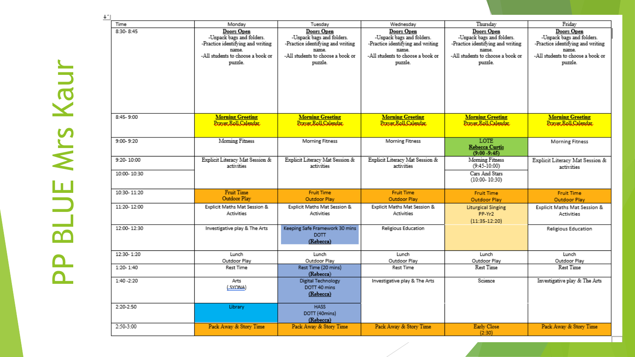| Time          | Monday                                                                                                                                | Tuesday                                                                                                                               | Wednesday                                                                                                                             | Thursday                                                                                                                              | Friday                                                                                                                                |
|---------------|---------------------------------------------------------------------------------------------------------------------------------------|---------------------------------------------------------------------------------------------------------------------------------------|---------------------------------------------------------------------------------------------------------------------------------------|---------------------------------------------------------------------------------------------------------------------------------------|---------------------------------------------------------------------------------------------------------------------------------------|
| $8:30 - 8:45$ | Doors Open<br>-Unpack bags and folders.<br>-Practice identifying and writing<br>name.<br>-All students to choose a book or<br>puzzle. | Doors Open<br>-Unpack bags and folders.<br>-Practice identifying and writing<br>name.<br>-All students to choose a book or<br>puzzle. | Doors Open<br>-Unpack bags and folders.<br>-Practice identifying and writing<br>name.<br>-All students to choose a book or<br>puzzle. | Doors Open<br>-Unpack bags and folders.<br>-Practice identifying and writing<br>name.<br>-All students to choose a book or<br>puzzle. | Doors Open<br>-Unpack bags and folders.<br>-Practice identifying and writing<br>name.<br>-All students to choose a book or<br>puzzle. |
|               |                                                                                                                                       |                                                                                                                                       |                                                                                                                                       |                                                                                                                                       |                                                                                                                                       |
| 8:45-9:00     | <b>Morning Greeting</b><br>Prayer Roll Calendar                                                                                       | <b>Morning Greeting</b><br>Prayer.Roll.Calendar.                                                                                      | <b>Morning Greeting</b><br>Prayer Roll Calendar                                                                                       | <b>Morning Greeting</b><br>Prayer Roll Calendar                                                                                       | <b>Morning Greeting</b><br>Prayer Roll Calendar                                                                                       |
| $9:00 - 9:20$ | Moming Fitness                                                                                                                        | Morning Fitness                                                                                                                       | <b>Morning Fitness</b>                                                                                                                | <b>LOTE</b><br><b>Rebecca Curtis</b><br>$(9:00 - 9:45)$                                                                               | <b>Morning Fitness</b>                                                                                                                |
| 9:20-10:00    | Explicit Literacy Mat Session &<br>activities                                                                                         | Explicit Literacy Mat Session &<br>activities                                                                                         | Explicit Literacy Mat Session &<br>activities                                                                                         | Moming Fitness<br>$(9:45 - 10:00)$                                                                                                    | Explicit Literacy Mat Session &<br>activities                                                                                         |
| 10:00-10:30   |                                                                                                                                       |                                                                                                                                       |                                                                                                                                       | Cars And Stars<br>$(10:00 - 10:30)$                                                                                                   |                                                                                                                                       |
| 10:30-11:20   | <b>Fruit Time</b><br>Outdoor Play                                                                                                     | <b>Fruit Time</b><br>Outdoor Play                                                                                                     | <b>Fruit Time</b><br>Outdoor Play                                                                                                     | <b>Fruit Time</b><br><b>Outdoor Play</b>                                                                                              | <b>Fruit Time</b><br><b>Outdoor Play</b>                                                                                              |
| 11:20-12:00   | Explicit Maths Mat Session &<br><b>Activities</b>                                                                                     | Explicit Maths Mat Session &<br><b>Activities</b>                                                                                     | Explicit Maths Mat Session &<br><b>Activities</b>                                                                                     | <b>Liturgical Singing</b><br>PP-Yr2<br>$(11:35-12:20)$                                                                                | Explicit Maths Mat Session &<br><b>Activities</b>                                                                                     |
| 12:00-12:30   | Investigative play & The Arts                                                                                                         | Keeping Safe Framework 30 mins<br>DOTT <sub></sub><br>(Rebecca)                                                                       | Religious Education                                                                                                                   |                                                                                                                                       | Religious Education                                                                                                                   |
| 12:30-1:20    | Lunch<br>Outdoor Play                                                                                                                 | Lunch<br>Outdoor Play                                                                                                                 | Lunch<br>Outdoor Play                                                                                                                 | Lunch<br>Outdoor Play                                                                                                                 | Lunch<br>Outdoor Play                                                                                                                 |
| 1:20-1:40     | <b>Rest Time</b>                                                                                                                      | Rest Time (20 mins)<br>(Rebecca)                                                                                                      | <b>Rest Time</b>                                                                                                                      | Rest Time                                                                                                                             | Rest Time                                                                                                                             |
| $1:40 - 2:20$ | Arts<br>(SYONA)                                                                                                                       | <b>Digital Technology</b><br>DOTT 40 mins<br>(Rebecca)                                                                                | Investigative play & The Arts                                                                                                         | Science                                                                                                                               | Investigative play & The Arts                                                                                                         |
| 2:20-2:50     | Library                                                                                                                               | <b>HASS</b><br>DOTT (40mins)<br>(Rebecca)                                                                                             |                                                                                                                                       |                                                                                                                                       |                                                                                                                                       |
| $2:50-3:00$   | Pack Away & Story Time                                                                                                                | Pack Away & Story Time                                                                                                                | Pack Away & Story Time                                                                                                                | <b>Early Close</b><br>(2:30)                                                                                                          | Pack Away & Story Time                                                                                                                |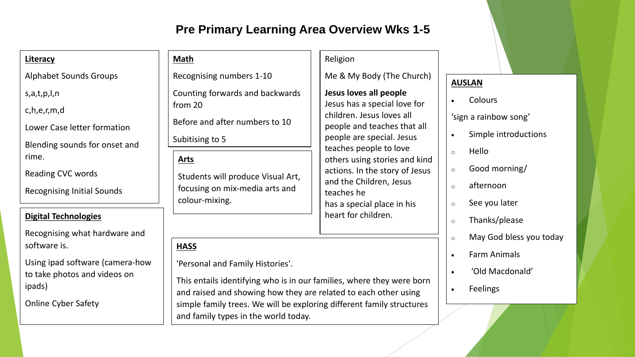#### **Pre Primary Learning Area Overview Wks 1-5**

| Literacy                                     | Math                                                                 | Religion                                                                                              |                             |
|----------------------------------------------|----------------------------------------------------------------------|-------------------------------------------------------------------------------------------------------|-----------------------------|
| <b>Alphabet Sounds Groups</b>                | Recognising numbers 1-10                                             | Me & My Body (The Church)                                                                             | <b>AUSLAN</b>               |
| s,a,t,p,l,n                                  | Counting forwards and backwards                                      | Jesus loves all people                                                                                | <b>Colours</b><br>$\bullet$ |
| c,h,e,r,m,d                                  | Jesus has a special love for<br>from 20<br>children. Jesus loves all |                                                                                                       | 'sign a rainbow song'       |
| Lower Case letter formation                  | Before and after numbers to 10                                       | people and teaches that all<br>people are special. Jesus<br>teaches people to love                    |                             |
| Blending sounds for onset and                | Subitising to 5                                                      |                                                                                                       | Simple introduct            |
| rime.                                        | <b>Arts</b>                                                          | others using stories and kind                                                                         | Hello<br>$\circ$            |
| Reading CVC words                            | Students will produce Visual Art,                                    | actions. In the story of Jesus<br>and the Children, Jesus<br>teaches he<br>has a special place in his | Good morning/<br>$\circ$    |
| <b>Recognising Initial Sounds</b>            | focusing on mix-media arts and                                       |                                                                                                       | afternoon<br>$\circ$        |
|                                              | colour-mixing.                                                       |                                                                                                       | See you later<br>$\circ$    |
| <b>Digital Technologies</b>                  |                                                                      | heart for children.                                                                                   | Thanks/please<br>$\circ$    |
| De elementator e collega legado centro en el |                                                                      |                                                                                                       |                             |

Recognising what hardware and software is.

Using ipad software (camera-how to take photos and videos on ipads)

Online Cyber Safety

'Personal and Family Histories'.

**HASS**

This entails identifying who is in our families, where they were born and raised and showing how they are related to each other using simple family trees. We will be exploring different family structures and family types in the world today.

tions

- o May God bless you today
- Farm Animals
- 'Old Macdonald'
- Feelings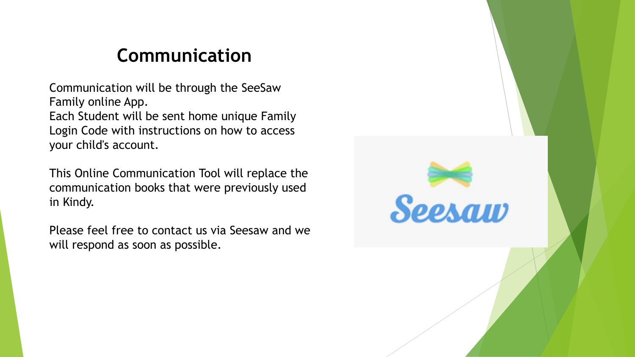## **Communication**

Communication will be through the SeeSaw Family online App. Each Student will be sent home unique Family Login Code with instructions on how to access your child's account.

This Online Communication Tool will replace the communication books that were previously used in Kindy.

Please feel free to contact us via Seesaw and we will respond as soon as possible.

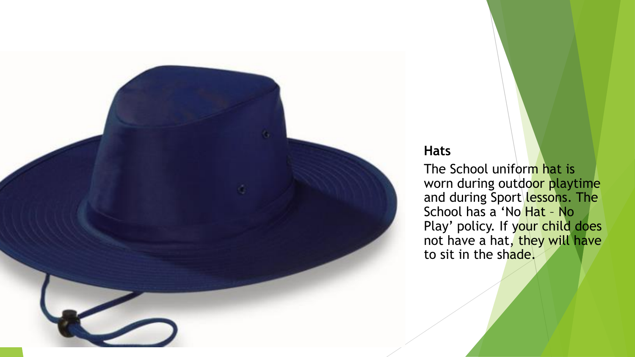

#### **Hats**

The School uniform hat is worn during outdoor playtime and during Sport lessons. The School has a 'No Hat – No Play' policy. If your child does not have a hat, they will have to sit in the shade.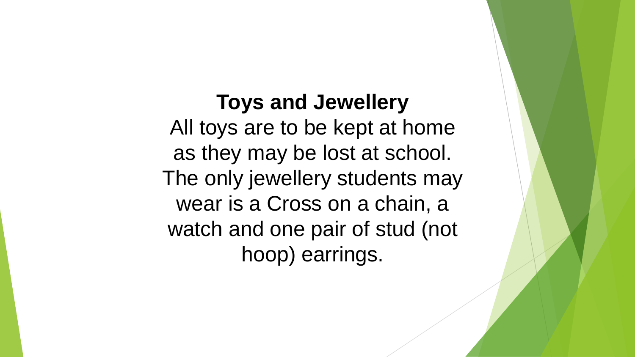## **Toys and Jewellery**  All toys are to be kept at home as they may be lost at school. The only jewellery students may wear is a Cross on a chain, a watch and one pair of stud (not hoop) earrings.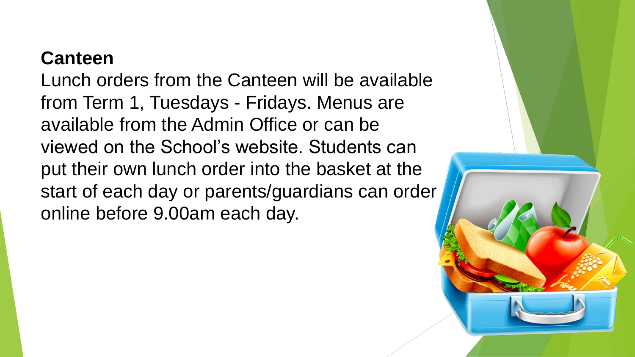## **Canteen**

Lunch orders from the Canteen will be available from Term 1, Tuesdays - Fridays. Menus are available from the Admin Office or can be viewed on the School's website. Students can put their own lunch order into the basket at the start of each day or parents/guardians can order online before 9.00am each day.